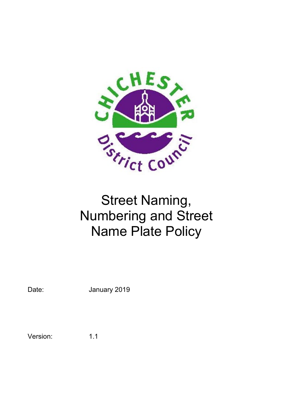

# Street Naming, Numbering and Street Name Plate Policy

Date: **January 2019** 

Version: 1.1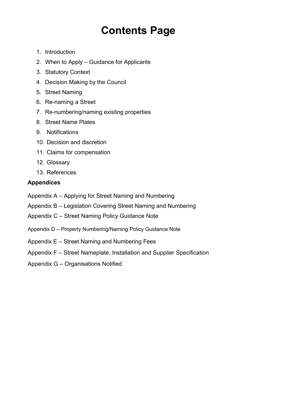## **Contents Page**

- 1. Introduction
- 2. When to Apply Guidance for Applicants
- 3. Statutory Context
- 4. Decision Making by the Council
- 5. Street Naming
- 6. Re-naming a Street
- 7. Re-numbering/naming existing properties
- 8. Street Name Plates
- 9. Notifications
- 10. Decision and discretion
- 11. Claims for compensation
- 12. Glossary
- 13. References

#### **Appendices**

- Appendix A Applying for Street Naming and Numbering
- Appendix B Legislation Covering Street Naming and Numbering
- Appendix C Street Naming Policy Guidance Note
- Appendix D Property Numbering/Naming Policy Guidance Note
- Appendix E Street Naming and Numbering Fees
- Appendix F Street Nameplate, Installation and Supplier Specification
- Appendix G Organisations Notified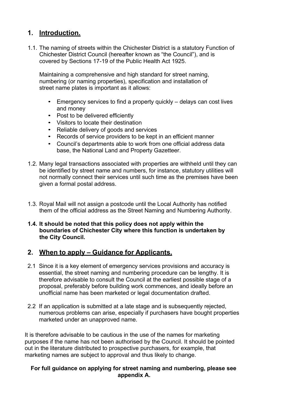#### **1. Introduction.**

1.1. The naming of streets within the Chichester District is a statutory Function of Chichester District Council (hereafter known as "the Council"), and is covered by Sections 17-19 of the Public Health Act 1925.

Maintaining a comprehensive and high standard for street naming, numbering (or naming properties), specification and installation of street name plates is important as it allows:

- Emergency services to find a property quickly delays can cost lives and money
- Post to be delivered efficiently
- Visitors to locate their destination
- Reliable delivery of goods and services
- Records of service providers to be kept in an efficient manner
- Council's departments able to work from one official address data base, the National Land and Property Gazetteer.
- 1.2. Many legal transactions associated with properties are withheld until they can be identified by street name and numbers, for instance, statutory utilities will not normally connect their services until such time as the premises have been given a formal postal address.
- 1.3. Royal Mail will not assign a postcode until the Local Authority has notified them of the official address as the Street Naming and Numbering Authority.

#### **1.4. It should be noted that this policy does not apply within the boundaries of Chichester City where this function is undertaken by the City Council.**

#### **2. When to apply – Guidance for Applicants.**

- 2.1 Since it is a key element of emergency services provisions and accuracy is essential, the street naming and numbering procedure can be lengthy. It is therefore advisable to consult the Council at the earliest possible stage of a proposal, preferably before building work commences, and ideally before an unofficial name has been marketed or legal documentation drafted.
- 2.2 If an application is submitted at a late stage and is subsequently rejected, numerous problems can arise, especially if purchasers have bought properties marketed under an unapproved name.

It is therefore advisable to be cautious in the use of the names for marketing purposes if the name has not been authorised by the Council. It should be pointed out in the literature distributed to prospective purchasers, for example, that marketing names are subject to approval and thus likely to change.

#### **For full guidance on applying for street naming and numbering, please see appendix A.**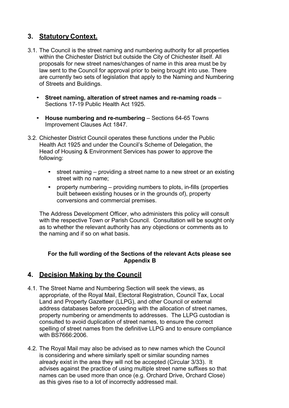### **3. Statutory Context.**

- 3.1. The Council is the street naming and numbering authority for all properties within the Chichester District but outside the City of Chichester itself. All proposals for new street names/changes of name in this area must be by law sent to the Council for approval prior to being brought into use. There are currently two sets of legislation that apply to the Naming and Numbering of Streets and Buildings.
	- **Street naming, alteration of street names and re-naming roads**  Sections 17-19 Public Health Act 1925.
	- **House numbering and re-numbering**  Sections 64-65 Towns Improvement Clauses Act 1847.
- 3.2. Chichester District Council operates these functions under the Public Health Act 1925 and under the Council's Scheme of Delegation, the Head of Housing & Environment Services has power to approve the following:
	- street naming providing a street name to a new street or an existing street with no name;
	- property numbering providing numbers to plots, in-fills (properties built between existing houses or in the grounds of), property conversions and commercial premises.

The Address Development Officer, who administers this policy will consult with the respective Town or Parish Council. Consultation will be sought only as to whether the relevant authority has any objections or comments as to the naming and if so on what basis.

#### **For the full wording of the Sections of the relevant Acts please see Appendix B**

#### **4. Decision Making by the Council**

- 4.1. The Street Name and Numbering Section will seek the views, as appropriate, of the Royal Mail, Electoral Registration, Council Tax, Local Land and Property Gazetteer (LLPG), and other Council or external address databases before proceeding with the allocation of street names, property numbering or amendments to addresses. The LLPG custodian is consulted to avoid duplication of street names, to ensure the correct spelling of street names from the definitive LLPG and to ensure compliance with BS7666:2006.
- 4.2. The Royal Mail may also be advised as to new names which the Council is considering and where similarly spelt or similar sounding names already exist in the area they will not be accepted (Circular 3/33). It advises against the practice of using multiple street name suffixes so that names can be used more than once (e.g. Orchard Drive, Orchard Close) as this gives rise to a lot of incorrectly addressed mail.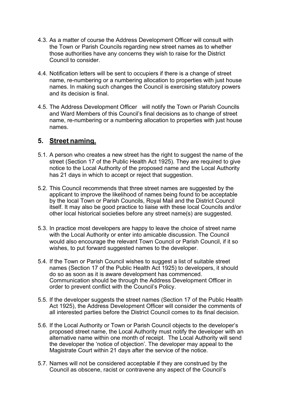- 4.3. As a matter of course the Address Development Officer will consult with the Town or Parish Councils regarding new street names as to whether those authorities have any concerns they wish to raise for the District Council to consider.
- 4.4. Notification letters will be sent to occupiers if there is a change of street name, re-numbering or a numbering allocation to properties with just house names. In making such changes the Council is exercising statutory powers and its decision is final.
- 4.5. The Address Development Officer will notify the Town or Parish Councils and Ward Members of this Council's final decisions as to change of street name, re-numbering or a numbering allocation to properties with just house names.

#### **5. Street naming.**

- 5.1. A person who creates a new street has the right to suggest the name of the street (Section 17 of the Public Health Act 1925). They are required to give notice to the Local Authority of the proposed name and the Local Authority has 21 days in which to accept or reject that suggestion.
- 5.2. This Council recommends that three street names are suggested by the applicant to improve the likelihood of names being found to be acceptable by the local Town or Parish Councils, Royal Mail and the District Council itself. It may also be good practice to liaise with these local Councils and/or other local historical societies before any street name(s) are suggested.
- 5.3. In practice most developers are happy to leave the choice of street name with the Local Authority or enter into amicable discussion. The Council would also encourage the relevant Town Council or Parish Council, if it so wishes, to put forward suggested names to the developer.
- 5.4. If the Town or Parish Council wishes to suggest a list of suitable street names (Section 17 of the Public Health Act 1925) to developers, it should do so as soon as it is aware development has commenced. Communication should be through the Address Development Officer in order to prevent conflict with the Council's Policy.
- 5.5. If the developer suggests the street names (Section 17 of the Public Health Act 1925), the Address Development Officer will consider the comments of all interested parties before the District Council comes to its final decision.
- 5.6. If the Local Authority or Town or Parish Council objects to the developer's proposed street name, the Local Authority must notify the developer with an alternative name within one month of receipt. The Local Authority will send the developer the 'notice of objection'. The developer may appeal to the Magistrate Court within 21 days after the service of the notice.
- 5.7. Names will not be considered acceptable if they are construed by the Council as obscene, racist or contravene any aspect of the Council's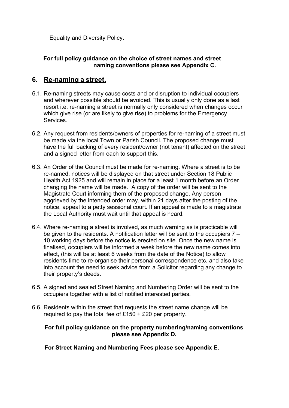Equality and Diversity Policy.

#### **For full policy guidance on the choice of street names and street naming conventions please see Appendix C.**

#### **6. Re-naming a street.**

- 6.1. Re-naming streets may cause costs and or disruption to individual occupiers and wherever possible should be avoided. This is usually only done as a last resort i.e. re-naming a street is normally only considered when changes occur which give rise (or are likely to give rise) to problems for the Emergency **Services**
- 6.2. Any request from residents/owners of properties for re-naming of a street must be made via the local Town or Parish Council. The proposed change must have the full backing of every resident/owner (not tenant) affected on the street and a signed letter from each to support this.
- 6.3. An Order of the Council must be made for re-naming. Where a street is to be re-named, notices will be displayed on that street under Section 18 Public Health Act 1925 and will remain in place for a least 1 month before an Order changing the name will be made. A copy of the order will be sent to the Magistrate Court informing them of the proposed change. Any person aggrieved by the intended order may, within 21 days after the posting of the notice, appeal to a petty sessional court. If an appeal is made to a magistrate the Local Authority must wait until that appeal is heard.
- 6.4. Where re-naming a street is involved, as much warning as is practicable will be given to the residents. A notification letter will be sent to the occupiers  $7 -$ 10 working days before the notice is erected on site. Once the new name is finalised, occupiers will be informed a week before the new name comes into effect, (this will be at least 6 weeks from the date of the Notice) to allow residents time to re-organise their personal correspondence etc. and also take into account the need to seek advice from a Solicitor regarding any change to their property's deeds.
- 6.5. A signed and sealed Street Naming and Numbering Order will be sent to the occupiers together with a list of notified interested parties.
- 6.6. Residents within the street that requests the street name change will be required to pay the total fee of £150 + £20 per property.

#### **For full policy guidance on the property numbering/naming conventions please see Appendix D.**

**For Street Naming and Numbering Fees please see Appendix E.**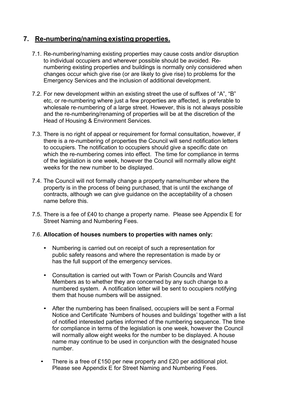#### **7. Re-numbering/naming existing properties.**

- 7.1. Re-numbering/naming existing properties may cause costs and/or disruption to individual occupiers and wherever possible should be avoided. Renumbering existing properties and buildings is normally only considered when changes occur which give rise (or are likely to give rise) to problems for the Emergency Services and the inclusion of additional development.
- 7.2. For new development within an existing street the use of suffixes of "A", "B" etc, or re-numbering where just a few properties are affected, is preferable to wholesale re-numbering of a large street. However, this is not always possible and the re-numbering/renaming of properties will be at the discretion of the Head of Housing & Environment Services.
- 7.3. There is no right of appeal or requirement for formal consultation, however, if there is a re-numbering of properties the Council will send notification letters to occupiers. The notification to occupiers should give a specific date on which the re-numbering comes into effect. The time for compliance in terms of the legislation is one week, however the Council will normally allow eight weeks for the new number to be displayed.
- 7.4. The Council will not formally change a property name/number where the property is in the process of being purchased, that is until the exchange of contracts, although we can give guidance on the acceptability of a chosen name before this.
- 7.5. There is a fee of £40 to change a property name. Please see Appendix E for Street Naming and Numbering Fees.

#### 7.6. **Allocation of houses numbers to properties with names only:**

- Numbering is carried out on receipt of such a representation for public safety reasons and where the representation is made by or has the full support of the emergency services.
- Consultation is carried out with Town or Parish Councils and Ward Members as to whether they are concerned by any such change to a numbered system. A notification letter will be sent to occupiers notifying them that house numbers will be assigned.
- After the numbering has been finalised, occupiers will be sent a Formal Notice and Certificate 'Numbers of houses and buildings' together with a list of notified interested parties informed of the numbering sequence. The time for compliance in terms of the legislation is one week, however the Council will normally allow eight weeks for the number to be displayed. A house name may continue to be used in conjunction with the designated house number.
- There is a free of £150 per new property and £20 per additional plot. Please see Appendix E for Street Naming and Numbering Fees.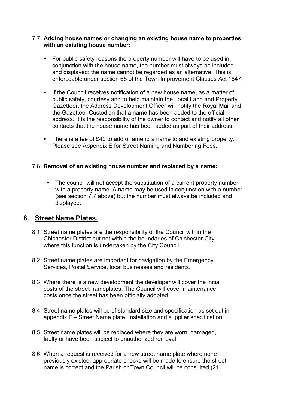#### 7.7. **Adding house names or changing an existing house name to properties with an existing house number:**

- For public safety reasons the property number will have to be used in conjunction with the house name, the number must always be included and displayed; the name cannot be regarded as an alternative. This is enforceable under section 65 of the Town Improvement Clauses Act 1847.
- If the Council receives notification of a new house name, as a matter of public safety, courtesy and to help maintain the Local Land and Property Gazetteer, the Address Development Officer will notify the Royal Mail and the Gazetteer Custodian that a name has been added to the official address. It is the responsibility of the owner to contact and notify all other contacts that the house name has been added as part of their address.
- There is a fee of £40 to add or amend a name to and existing property. Please see Appendix E for Street Naming and Numbering Fees.

#### 7.8. **Removal of an existing house number and replaced by a name:**

• The council will not accept the substitution of a current property number with a property name. A name may be used in conjunction with a number (see section 7.7 above) but the number must always be included and displayed.

#### **8. Street Name Plates.**

- 8.1. Street name plates are the responsibility of the Council within the Chichester District but not within the boundaries of Chichester City where this function is undertaken by the City Council.
- 8.2. Street name plates are important for navigation by the Emergency Services, Postal Service, local businesses and residents.
- 8.3. Where there is a new development the developer will cover the initial costs of the street nameplates. The Council will cover maintenance costs once the street has been officially adopted.
- 8.4. Street name plates will be of standard size and specification as set out in appendix F – Street Name plate, Installation and supplier specification.
- 8.5. Street name plates will be replaced where they are worn, damaged, faulty or have been subject to unauthorized removal.
- 8.6. When a request is received for a new street name plate where none previously existed, appropriate checks will be made to ensure the street name is correct and the Parish or Town Council will be consulted (21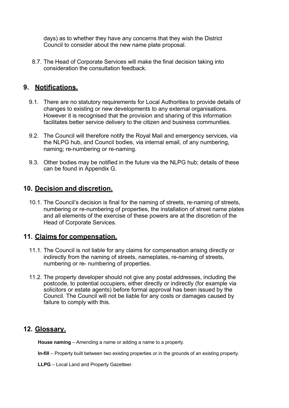days) as to whether they have any concerns that they wish the District Council to consider about the new name plate proposal.

8.7. The Head of Corporate Services will make the final decision taking into consideration the consultation feedback.

#### **9. Notifications.**

- 9.1. There are no statutory requirements for Local Authorities to provide details of changes to existing or new developments to any external organisations. However it is recognised that the provision and sharing of this information facilitates better service delivery to the citizen and business communities.
- 9.2. The Council will therefore notify the Royal Mail and emergency services, via the NLPG hub, and Council bodies, via internal email, of any numbering, naming; re-numbering or re-naming.
- 9.3. Other bodies may be notified in the future via the NLPG hub; details of these can be found in Appendix G.

#### **10. Decision and discretion.**

10.1. The Council's decision is final for the naming of streets, re-naming of streets, numbering or re-numbering of properties, the installation of street name plates and all elements of the exercise of these powers are at the discretion of the Head of Corporate Services.

#### **11. Claims for compensation.**

- 11.1. The Council is not liable for any claims for compensation arising directly or indirectly from the naming of streets, nameplates, re-naming of streets, numbering or re- numbering of properties.
- 11.2. The property developer should not give any postal addresses, including the postcode, to potential occupiers, either directly or indirectly (for example via solicitors or estate agents) before formal approval has been issued by the Council. The Council will not be liable for any costs or damages caused by failure to comply with this.

#### **12. Glossary.**

**House naming** – Amending a name or adding a name to a property.

- **In-fill**  Property built between two existing properties or in the grounds of an existing property.
- **LLPG** Local Land and Property Gazetteer.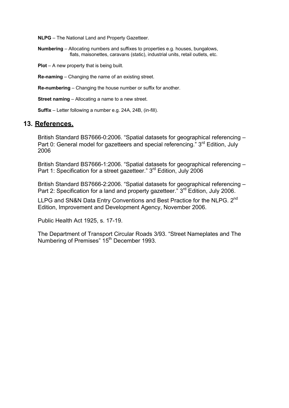**NLPG** – The National Land and Property Gazetteer.

**Numbering** – Allocating numbers and suffixes to properties e.g. houses, bungalows, flats, maisonettes, caravans (static), industrial units, retail outlets, etc.

**Plot** – A new property that is being built.

**Re-naming** – Changing the name of an existing street.

**Re-numbering** – Changing the house number or suffix for another.

**Street naming** – Allocating a name to a new street.

**Suffix** – Letter following a number e.g. 24A, 24B, (in-fill).

#### **13. References.**

British Standard BS7666-0:2006. "Spatial datasets for geographical referencing – Part 0: General model for gazetteers and special referencing." 3<sup>rd</sup> Edition, July 2006

British Standard BS7666-1:2006. "Spatial datasets for geographical referencing – Part 1: Specification for a street gazetteer." 3<sup>rd</sup> Edition, July 2006

British Standard BS7666-2:2006. "Spatial datasets for geographical referencing – Part 2: Specification for a land and property gazetteer." 3<sup>rd</sup> Edition, July 2006.

LLPG and SN&N Data Entry Conventions and Best Practice for the NLPG. 2<sup>nd</sup> Edition, Improvement and Development Agency, November 2006.

Public Health Act 1925, s. 17-19.

The Department of Transport Circular Roads 3/93. "Street Nameplates and The Numbering of Premises" 15<sup>th</sup> December 1993.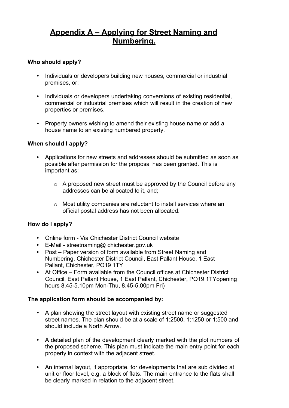## **Appendix A – Applying for Street Naming and Numbering.**

#### **Who should apply?**

- Individuals or developers building new houses, commercial or industrial premises, or:
- Individuals or developers undertaking conversions of existing residential, commercial or industrial premises which will result in the creation of new properties or premises.
- Property owners wishing to amend their existing house name or add a house name to an existing numbered property.

#### **When should I apply?**

- Applications for new streets and addresses should be submitted as soon as possible after permission for the proposal has been granted. This is important as:
	- o A proposed new street must be approved by the Council before any addresses can be allocated to it, and;
	- o Most utility companies are reluctant to install services where an official postal address has not been allocated.

#### **How do I apply?**

- Online form Via Chichester District Council website
- E-Mail - [streetnaming@](mailto:1425SN%26N@lewes.gov.uk) chichester.gov.uk
- Post Paper version of form available from Street Naming and Numbering, Chichester District Council, East Pallant House, 1 East Pallant, Chichester, PO19 1TY
- At Office Form available from the Council offices at Chichester District Council, East Pallant House, 1 East Pallant, Chichester, PO19 1TYopening hours 8.45-5.10pm Mon-Thu, 8.45-5.00pm Fri)

#### **The application form should be accompanied by:**

- A plan showing the street layout with existing street name or suggested street names. The plan should be at a scale of 1:2500, 1:1250 or 1:500 and should include a North Arrow.
- A detailed plan of the development clearly marked with the plot numbers of the proposed scheme. This plan must indicate the main entry point for each property in context with the adjacent street.
- An internal layout, if appropriate, for developments that are sub divided at unit or floor level, e.g. a block of flats. The main entrance to the flats shall be clearly marked in relation to the adjacent street.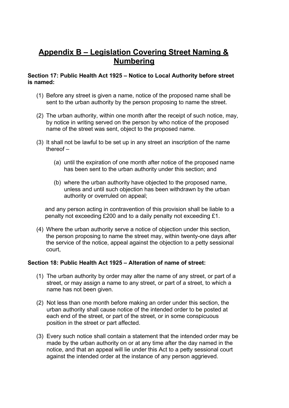## **Appendix B – Legislation Covering Street Naming & Numbering**

#### **Section 17: Public Health Act 1925 – Notice to Local Authority before street is named:**

- (1) Before any street is given a name, notice of the proposed name shall be sent to the urban authority by the person proposing to name the street.
- (2) The urban authority, within one month after the receipt of such notice, may, by notice in writing served on the person by who notice of the proposed name of the street was sent, object to the proposed name.
- (3) It shall not be lawful to be set up in any street an inscription of the name thereof –
	- (a) until the expiration of one month after notice of the proposed name has been sent to the urban authority under this section; and
	- (b) where the urban authority have objected to the proposed name, unless and until such objection has been withdrawn by the urban authority or overruled on appeal;

and any person acting in contravention of this provision shall be liable to a penalty not exceeding £200 and to a daily penalty not exceeding £1.

(4) Where the urban authority serve a notice of objection under this section, the person proposing to name the street may, within twenty-one days after the service of the notice, appeal against the objection to a petty sessional court,

#### **Section 18: Public Health Act 1925 – Alteration of name of street:**

- (1) The urban authority by order may alter the name of any street, or part of a street, or may assign a name to any street, or part of a street, to which a name has not been given.
- (2) Not less than one month before making an order under this section, the urban authority shall cause notice of the intended order to be posted at each end of the street, or part of the street, or in some conspicuous position in the street or part affected.
- (3) Every such notice shall contain a statement that the intended order may be made by the urban authority on or at any time after the day named in the notice, and that an appeal will lie under this Act to a petty sessional court against the intended order at the instance of any person aggrieved.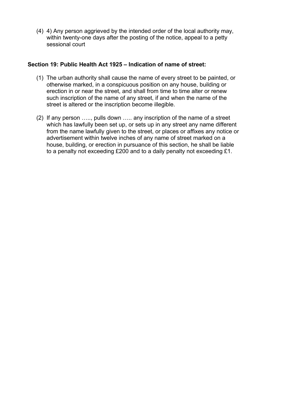(4) 4) Any person aggrieved by the intended order of the local authority may, within twenty-one days after the posting of the notice, appeal to a petty sessional court

#### **Section 19: Public Health Act 1925 – Indication of name of street:**

- (1) The urban authority shall cause the name of every street to be painted, or otherwise marked, in a conspicuous position on any house, building or erection in or near the street, and shall from time to time alter or renew such inscription of the name of any street, if and when the name of the street is altered or the inscription become illegible.
- (2) If any person ….., pulls down ….. any inscription of the name of a street which has lawfully been set up, or sets up in any street any name different from the name lawfully given to the street, or places or affixes any notice or advertisement within twelve inches of any name of street marked on a house, building, or erection in pursuance of this section, he shall be liable to a penalty not exceeding £200 and to a daily penalty not exceeding £1.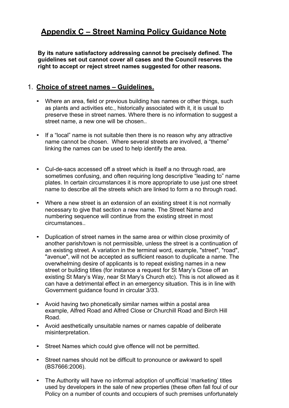## **Appendix C – Street Naming Policy Guidance Note**

**By its nature satisfactory addressing cannot be precisely defined. The guidelines set out cannot cover all cases and the Council reserves the right to accept or reject street names suggested for other reasons.**

#### 1. **Choice of street names – Guidelines.**

- Where an area, field or previous building has names or other things, such as plants and activities etc., historically associated with it, it is usual to preserve these in street names. Where there is no information to suggest a street name, a new one will be chosen..
- If a "local" name is not suitable then there is no reason why any attractive name cannot be chosen. Where several streets are involved, a "theme" linking the names can be used to help identify the area.
- Cul-de-sacs accessed off a street which is itself a no through road, are sometimes confusing, and often requiring long descriptive "leading to" name plates. In certain circumstances it is more appropriate to use just one street name to describe all the streets which are linked to form a no through road.
- Where a new street is an extension of an existing street it is not normally necessary to give that section a new name. The Street Name and numbering sequence will continue from the existing street in most circumstances..
- Duplication of street names in the same area or within close proximity of another parish/town is not permissible, unless the street is a continuation of an existing street. A variation in the terminal word, example, "street", "road", "avenue", will not be accepted as sufficient reason to duplicate a name. The overwhelming desire of applicants is to repeat existing names in a new street or building titles (for instance a request for St Mary's Close off an existing St Mary's Way, near St Mary's Church etc). This is not allowed as it can have a detrimental effect in an emergency situation. This is in line with Government guidance found in circular 3/33.
- Avoid having two phonetically similar names within a postal area example, Alfred Road and Alfred Close or Churchill Road and Birch Hill Road.
- Avoid aesthetically unsuitable names or names capable of deliberate misinterpretation.
- Street Names which could give offence will not be permitted.
- Street names should not be difficult to pronounce or awkward to spell (BS7666:2006).
- The Authority will have no informal adoption of unofficial 'marketing' titles used by developers in the sale of new properties (these often fall foul of our Policy on a number of counts and occupiers of such premises unfortunately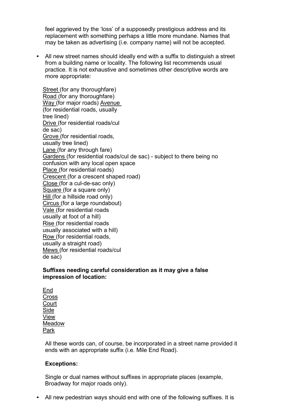feel aggrieved by the 'loss' of a supposedly prestigious address and its replacement with something perhaps a little more mundane. Names that may be taken as advertising (i.e. company name) will not be accepted.

• All new street names should ideally end with a suffix to distinguish a street from a building name or locality. The following list recommends usual practice. It is not exhaustive and sometimes other descriptive words are more appropriate:

Street (for any thoroughfare) Road (for any thoroughfare) Way (for major roads) Avenue (for residential roads, usually tree lined) Drive (for residential roads/cul de sac) Grove (for residential roads, usually tree lined) Lane (for any through fare) Gardens (for residential roads/cul de sac) - subject to there being no confusion with any local open space Place (for residential roads) Crescent (for a crescent shaped road) Close (for a cul-de-sac only) Square (for a square only) Hill (for a hillside road only) Circus (for a large roundabout) Vale (for residential roads usually at foot of a hill) Rise (for residential roads usually associated with a hill) Row (for residential roads, usually a straight road) Mews (for residential roads/cul de sac)

#### **Suffixes needing careful consideration as it may give a false impression of location:**

End **Cross Court** Side View **Meadow** Park

All these words can, of course, be incorporated in a street name provided it ends with an appropriate suffix (i.e. Mile End Road).

#### **Exceptions:**

Single or dual names without suffixes in appropriate places (example, Broadway for major roads only).

• All new pedestrian ways should end with one of the following suffixes. It is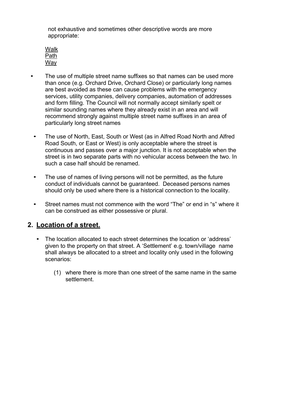not exhaustive and sometimes other descriptive words are more appropriate:

Walk Path **Wav** 

- The use of multiple street name suffixes so that names can be used more than once (e.g. Orchard Drive, Orchard Close) or particularly long names are best avoided as these can cause problems with the emergency services, utility companies, delivery companies, automation of addresses and form filling. The Council will not normally accept similarly spelt or similar sounding names where they already exist in an area and will recommend strongly against multiple street name suffixes in an area of particularly long street names
- The use of North, East, South or West (as in Alfred Road North and Alfred Road South, or East or West) is only acceptable where the street is continuous and passes over a major junction. It is not acceptable when the street is in two separate parts with no vehicular access between the two. In such a case half should be renamed.
- The use of names of living persons will not be permitted, as the future conduct of individuals cannot be guaranteed. Deceased persons names should only be used where there is a historical connection to the locality.
- Street names must not commence with the word "The" or end in "s" where it can be construed as either possessive or plural.

#### **2. Location of a street.**

- The location allocated to each street determines the location or 'address' given to the property on that street. A 'Settlement' e.g. town/village name shall always be allocated to a street and locality only used in the following scenarios:
	- (1) where there is more than one street of the same name in the same settlement.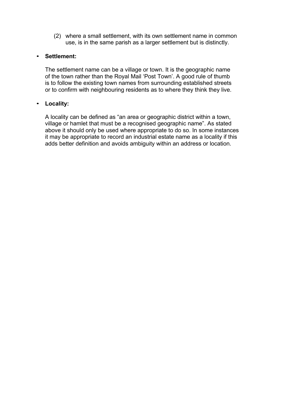(2) where a small settlement, with its own settlement name in common use, is in the same parish as a larger settlement but is distinctly.

#### • **Settlement:**

The settlement name can be a village or town. It is the geographic name of the town rather than the Royal Mail 'Post Town'. A good rule of thumb is to follow the existing town names from surrounding established streets or to confirm with neighbouring residents as to where they think they live.

#### • **Locality:**

A locality can be defined as "an area or geographic district within a town, village or hamlet that must be a recognised geographic name". As stated above it should only be used where appropriate to do so. In some instances it may be appropriate to record an industrial estate name as a locality if this adds better definition and avoids ambiguity within an address or location.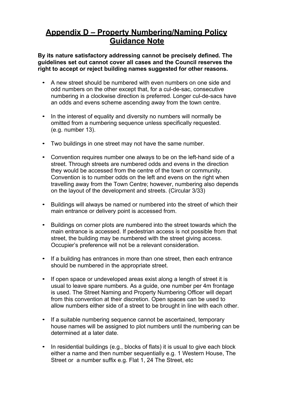## **Appendix D – Property Numbering/Naming Policy Guidance Note**

**By its nature satisfactory addressing cannot be precisely defined. The guidelines set out cannot cover all cases and the Council reserves the right to accept or reject building names suggested for other reasons.**

- A new street should be numbered with even numbers on one side and odd numbers on the other except that, for a cul-de-sac, consecutive numbering in a clockwise direction is preferred. Longer cul-de-sacs have an odds and evens scheme ascending away from the town centre.
- In the interest of equality and diversity no numbers will normally be omitted from a numbering sequence unless specifically requested. (e.g. number 13).
- Two buildings in one street may not have the same number.
- Convention requires number one always to be on the left-hand side of a street. Through streets are numbered odds and evens in the direction they would be accessed from the centre of the town or community. Convention is to number odds on the left and evens on the right when travelling away from the Town Centre; however, numbering also depends on the layout of the development and streets. (Circular 3/33)
- Buildings will always be named or numbered into the street of which their main entrance or delivery point is accessed from.
- Buildings on corner plots are numbered into the street towards which the main entrance is accessed. If pedestrian access is not possible from that street, the building may be numbered with the street giving access. Occupier's preference will not be a relevant consideration.
- If a building has entrances in more than one street, then each entrance should be numbered in the appropriate street.
- If open space or undeveloped areas exist along a length of street it is usual to leave spare numbers. As a guide, one number per 4m frontage is used. The Street Naming and Property Numbering Officer will depart from this convention at their discretion. Open spaces can be used to allow numbers either side of a street to be brought in line with each other.
- If a suitable numbering sequence cannot be ascertained, temporary house names will be assigned to plot numbers until the numbering can be determined at a later date.
- In residential buildings (e.g., blocks of flats) it is usual to give each block either a name and then number sequentially e.g. 1 Western House, The Street or a number suffix e.g. Flat 1, 24 The Street, etc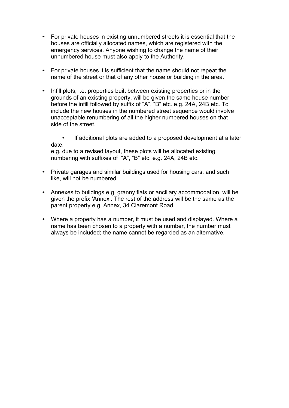- For private houses in existing unnumbered streets it is essential that the houses are officially allocated names, which are registered with the emergency services. Anyone wishing to change the name of their unnumbered house must also apply to the Authority.
- For private houses it is sufficient that the name should not repeat the name of the street or that of any other house or building in the area.
- Infill plots, i.e. properties built between existing properties or in the grounds of an existing property, will be given the same house number before the infill followed by suffix of "A", "B" etc. e.g. 24A, 24B etc. To include the new houses in the numbered street sequence would involve unacceptable renumbering of all the higher numbered houses on that side of the street.

• If additional plots are added to a proposed development at a later date,

e.g. due to a revised layout, these plots will be allocated existing numbering with suffixes of "A", "B" etc. e.g. 24A, 24B etc.

- Private garages and similar buildings used for housing cars, and such like, will not be numbered.
- Annexes to buildings e.g. granny flats or ancillary accommodation, will be given the prefix 'Annex'. The rest of the address will be the same as the parent property e.g. Annex, 34 Claremont Road.
- Where a property has a number, it must be used and displayed. Where a name has been chosen to a property with a number, the number must always be included; the name cannot be regarded as an alternative.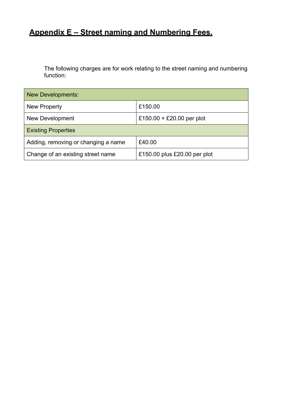## **Appendix E – Street naming and Numbering Fees.**

The following charges are for work relating to the street naming and numbering function:

| <b>New Developments:</b>            |                              |  |  |
|-------------------------------------|------------------------------|--|--|
| <b>New Property</b>                 | £150.00                      |  |  |
| <b>New Development</b>              | £150.00 + £20.00 per plot    |  |  |
| <b>Existing Properties</b>          |                              |  |  |
| Adding, removing or changing a name | £40.00                       |  |  |
| Change of an existing street name   | £150.00 plus £20.00 per plot |  |  |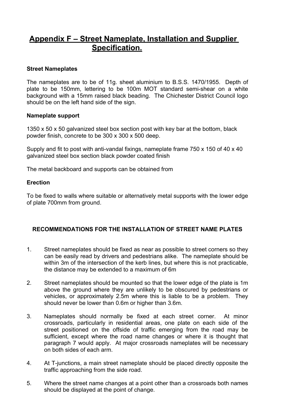## **Appendix F – Street Nameplate, Installation and Supplier Specification.**

#### **Street Nameplates**

The nameplates are to be of 11g. sheet aluminium to B.S.S. 1470/1955. Depth of plate to be 150mm, lettering to be 100m MOT standard semi-shear on a white background with a 15mm raised black beading. The Chichester District Council logo should be on the left hand side of the sign.

#### **Nameplate support**

1350 x 50 x 50 galvanized steel box section post with key bar at the bottom, black powder finish, concrete to be 300 x 300 x 500 deep.

Supply and fit to post with anti-vandal fixings, nameplate frame 750 x 150 of 40 x 40 galvanized steel box section black powder coated finish

The metal backboard and supports can be obtained from

#### **Erection**

To be fixed to walls where suitable or alternatively metal supports with the lower edge of plate 700mm from ground.

#### **RECOMMENDATIONS FOR THE INSTALLATION OF STREET NAME PLATES**

- 1. Street nameplates should be fixed as near as possible to street corners so they can be easily read by drivers and pedestrians alike. The nameplate should be within 3m of the intersection of the kerb lines, but where this is not practicable, the distance may be extended to a maximum of 6m
- 2. Street nameplates should be mounted so that the lower edge of the plate is 1m above the ground where they are unlikely to be obscured by pedestrians or vehicles, or approximately 2.5m where this is liable to be a problem. They should never be lower than 0.6m or higher than 3.6m.
- 3. Nameplates should normally be fixed at each street corner. At minor crossroads, particularly in residential areas, one plate on each side of the street positioned on the offside of traffic emerging from the road may be sufficient, except where the road name changes or where it is thought that paragraph 7 would apply. At major crossroads nameplates will be necessary on both sides of each arm.
- 4. At T-junctions, a main street nameplate should be placed directly opposite the traffic approaching from the side road.
- 5. Where the street name changes at a point other than a crossroads both names should be displayed at the point of change.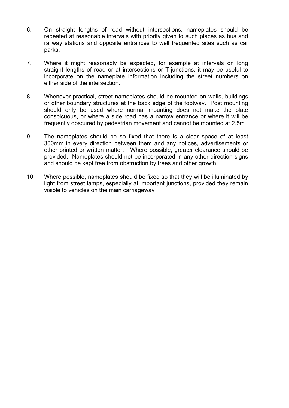- 6. On straight lengths of road without intersections, nameplates should be repeated at reasonable intervals with priority given to such places as bus and railway stations and opposite entrances to well frequented sites such as car parks.
- 7. Where it might reasonably be expected, for example at intervals on long straight lengths of road or at intersections or T-junctions, it may be useful to incorporate on the nameplate information including the street numbers on either side of the intersection.
- 8. Whenever practical, street nameplates should be mounted on walls, buildings or other boundary structures at the back edge of the footway. Post mounting should only be used where normal mounting does not make the plate conspicuous, or where a side road has a narrow entrance or where it will be frequently obscured by pedestrian movement and cannot be mounted at 2.5m
- 9. The nameplates should be so fixed that there is a clear space of at least 300mm in every direction between them and any notices, advertisements or other printed or written matter. Where possible, greater clearance should be provided. Nameplates should not be incorporated in any other direction signs and should be kept free from obstruction by trees and other growth.
- 10. Where possible, nameplates should be fixed so that they will be illuminated by light from street lamps, especially at important junctions, provided they remain visible to vehicles on the main carriageway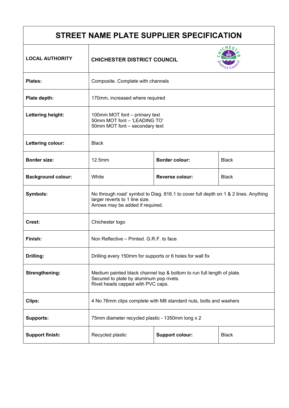| STREET NAME PLATE SUPPLIER SPECIFICATION |                                                                                                                                                           |                        |              |
|------------------------------------------|-----------------------------------------------------------------------------------------------------------------------------------------------------------|------------------------|--------------|
| <b>LOCAL AUTHORITY</b>                   | <b>CHICHESTER DISTRICT COUNCIL</b>                                                                                                                        |                        |              |
| <b>Plates:</b>                           | Composite. Complete with channels                                                                                                                         |                        |              |
| Plate depth:                             | 170mm, increased where required                                                                                                                           |                        |              |
| Lettering height:                        | 100mm MOT font - primary text<br>50mm MOT font - 'LEADING TO'<br>50mm MOT font - secondary text                                                           |                        |              |
| Lettering colour:                        | <b>Black</b>                                                                                                                                              |                        |              |
| <b>Border size:</b>                      | 12.5mm                                                                                                                                                    | <b>Border colour:</b>  | <b>Black</b> |
| <b>Background colour:</b>                | White                                                                                                                                                     | <b>Reverse colour:</b> | <b>Black</b> |
| Symbols:                                 | No through road' symbol to Diag. 816.1 to cover full depth on 1 & 2 lines. Anything<br>larger reverts to 1 line size.<br>Arrows may be added if required. |                        |              |
| Crest:                                   | Chichester logo                                                                                                                                           |                        |              |
| Finish:                                  | Non Reflective - Printed. G.R.F. to face                                                                                                                  |                        |              |
| Drilling:                                | Drilling every 150mm for supports or 6 holes for wall fix                                                                                                 |                        |              |
| <b>Strengthening:</b>                    | Medium painted black channel top & bottom to run full length of plate.<br>Secured to plate by aluminum pop rivets.<br>Rivet heads capped with PVC caps.   |                        |              |
| Clips:                                   | 4 No 76mm clips complete with M8 standard nuts, bolts and washers                                                                                         |                        |              |
| <b>Supports:</b>                         | 75mm diameter recycled plastic - 1350mm long x 2                                                                                                          |                        |              |
| <b>Support finish:</b>                   | Recycled plastic                                                                                                                                          | <b>Support colour:</b> | <b>Black</b> |